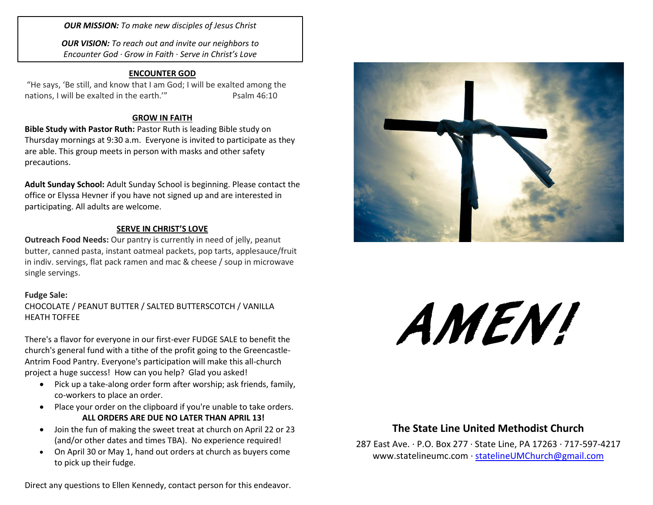*OUR MISSION: To make new disciples of Jesus Christ*

*OUR VISION: To reach out and invite our neighbors to Encounter God · Grow in Faith · Serve in Christ's Love*

#### **ENCOUNTER GOD**

"He says, 'Be still, and know that I am God; I will be exalted among the nations, I will be exalted in the earth." Psalm 46:10

#### **GROW IN FAITH**

**Bible Study with Pastor Ruth:** Pastor Ruth is leading Bible study on Thursday mornings at 9:30 a.m. Everyone is invited to participate as they are able. This group meets in person with masks and other safety precautions.

**Adult Sunday School:** Adult Sunday School is beginning. Please contact the office or Elyssa Hevner if you have not signed up and are interested in participating. All adults are welcome.

#### **SERVE IN CHRIST'S LOVE**

**Outreach Food Needs:** Our pantry is currently in need of jelly, peanut butter, canned pasta, instant oatmeal packets, pop tarts, applesauce/fruit in indiv. servings, flat pack ramen and mac & cheese / soup in microwave single servings.

#### **Fudge Sale:**

CHOCOLATE / PEANUT BUTTER / SALTED BUTTERSCOTCH / VANILLA HEATH TOFFEE

There's a flavor for everyone in our first-ever FUDGE SALE to benefit the church's general fund with a tithe of the profit going to the Greencastle-Antrim Food Pantry. Everyone's participation will make this all-church project a huge success! How can you help? Glad you asked!

- Pick up a take-along order form after worship; ask friends, family, co-workers to place an order.
- Place your order on the clipboard if you're unable to take orders. **ALL ORDERS ARE DUE NO LATER THAN APRIL 13!**
- Join the fun of making the sweet treat at church on April 22 or 23 (and/or other dates and times TBA). No experience required!
- On April 30 or May 1, hand out orders at church as buyers come to pick up their fudge.

Direct any questions to Ellen Kennedy, contact person for this endeavor.



# AMEN!

# **The State Line United Methodist Church**

[www.statelineumc.com](http://www.statelineumc.com/) · <u>statelineUMChurch@gmail.com</u> 287 East Ave. · P.O. Box 277 · State Line, PA 17263 · 717-597-4217